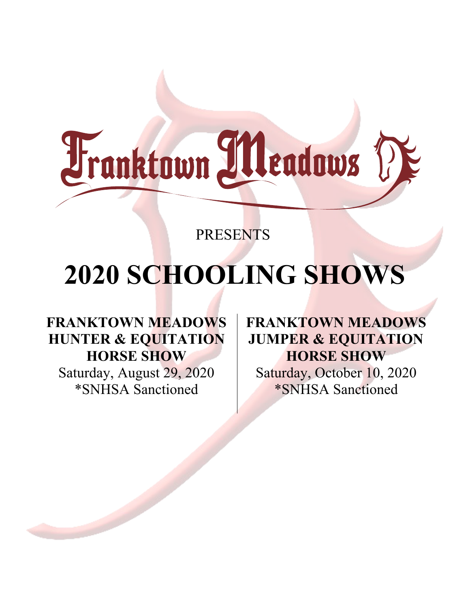

# PRESENTS

# **2020 SCHOOLING SHOWS**

**FRANKTOWN MEADOWS HUNTER & EQUITATION HORSE SHOW** Saturday, August 29, 2020 \*SNHSA Sanctioned

**FRANKTOWN MEADOWS JUMPER & EQUITATION HORSE SHOW** Saturday, October 10, 2020 \*SNHSA Sanctioned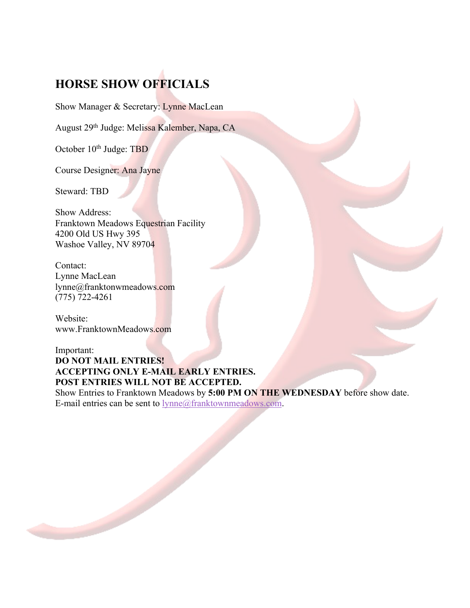# **HORSE SHOW OFFICIALS**

Show Manager & Secretary: Lynne MacLean

August 29th Judge: Melissa Kalember, Napa, CA

October 10<sup>th</sup> Judge: TBD

Course Designer: Ana Jayne

Steward: TBD

Show Address: Franktown Meadows Equestrian Facility 4200 Old US Hwy 395 Washoe Valley, NV 89704

Contact: Lynne MacLean lynne@franktonwmeadows.com (775) 722-4261

Website: www.FranktownMeadows.com

#### Important: **DO NOT MAIL ENTRIES! ACCEPTING ONLY E-MAIL EARLY ENTRIES. POST ENTRIES WILL NOT BE ACCEPTED.**

Show Entries to Franktown Meadows by **5:00 PM ON THE WEDNESDAY** before show date. E-mail entries can be sent to lynne@franktownmeadows.com.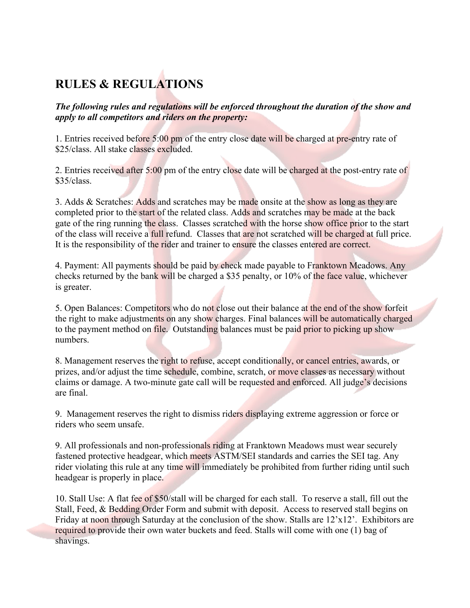# **RULES & REGULATIONS**

*The following rules and regulations will be enforced throughout the duration of the show and apply to all competitors and riders on the property:*

1. Entries received before 5:00 pm of the entry close date will be charged at pre-entry rate of \$25/class. All stake classes excluded.

2. Entries received after 5:00 pm of the entry close date will be charged at the post-entry rate of  $$35/class.$ 

3. Adds & Scratches: Adds and scratches may be made onsite at the show as long as they are completed prior to the start of the related class. Adds and scratches may be made at the back gate of the ring running the class. Classes scratched with the horse show office prior to the start of the class will receive a full refund. Classes that are not scratched will be charged at full price. It is the responsibility of the rider and trainer to ensure the classes entered are correct.

4. Payment: All payments should be paid by check made payable to Franktown Meadows. Any checks returned by the bank will be charged a \$35 penalty, or 10% of the face value, whichever is greater.

5. Open Balances: Competitors who do not close out their balance at the end of the show forfeit the right to make adjustments on any show charges. Final balances will be automatically charged to the payment method on file. Outstanding balances must be paid prior to picking up show numbers.

8. Management reserves the right to refuse, accept conditionally, or cancel entries, awards, or prizes, and/or adjust the time schedule, combine, scratch, or move classes as necessary without claims or damage. A two-minute gate call will be requested and enforced. All judge's decisions are final.

9. Management reserves the right to dismiss riders displaying extreme aggression or force or riders who seem unsafe.

9. All professionals and non-professionals riding at Franktown Meadows must wear securely fastened protective headgear, which meets ASTM/SEI standards and carries the SEI tag. Any rider violating this rule at any time will immediately be prohibited from further riding until such headgear is properly in place.

10. Stall Use: A flat fee of \$50/stall will be charged for each stall. To reserve a stall, fill out the Stall, Feed, & Bedding Order Form and submit with deposit. Access to reserved stall begins on Friday at noon through Saturday at the conclusion of the show. Stalls are 12'x12'. Exhibitors are required to provide their own water buckets and feed. Stalls will come with one (1) bag of shavings.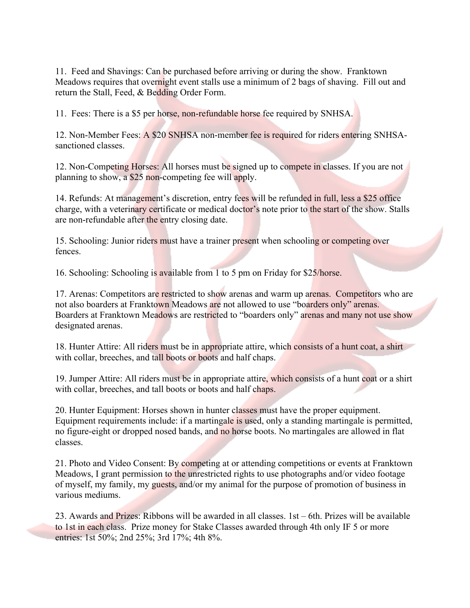11. Feed and Shavings: Can be purchased before arriving or during the show. Franktown Meadows requires that overnight event stalls use a minimum of 2 bags of shaving. Fill out and return the Stall, Feed, & Bedding Order Form.

11. Fees: There is a \$5 per horse, non-refundable horse fee required by SNHSA.

12. Non-Member Fees: A \$20 SNHSA non-member fee is required for riders entering SNHSAsanctioned classes.

12. Non-Competing Horses: All horses must be signed up to compete in classes. If you are not planning to show, a \$25 non-competing fee will apply.

14. Refunds: At management's discretion, entry fees will be refunded in full, less a \$25 office charge, with a veterinary certificate or medical doctor's note prior to the start of the show. Stalls are non-refundable after the entry closing date.

15. Schooling: Junior riders must have a trainer present when schooling or competing over fences.

16. Schooling: Schooling is available from 1 to 5 pm on Friday for \$25/horse.

17. Arenas: Competitors are restricted to show arenas and warm up arenas. Competitors who are not also boarders at Franktown Meadows are not allowed to use "boarders only" arenas. Boarders at Franktown Meadows are restricted to "boarders only" arenas and many not use show designated arenas.

18. Hunter Attire: All riders must be in appropriate attire, which consists of a hunt coat, a shirt with collar, breeches, and tall boots or boots and half chaps.

19. Jumper Attire: All riders must be in appropriate attire, which consists of a hunt coat or a shirt with collar, breeches, and tall boots or boots and half chaps.

20. Hunter Equipment: Horses shown in hunter classes must have the proper equipment. Equipment requirements include: if a martingale is used, only a standing martingale is permitted, no figure-eight or dropped nosed bands, and no horse boots. No martingales are allowed in flat classes.

21. Photo and Video Consent: By competing at or attending competitions or events at Franktown Meadows, I grant permission to the unrestricted rights to use photographs and/or video footage of myself, my family, my guests, and/or my animal for the purpose of promotion of business in various mediums.

23. Awards and Prizes: Ribbons will be awarded in all classes. 1st – 6th. Prizes will be available to 1st in each class. Prize money for Stake Classes awarded through 4th only IF 5 or more entries: 1st 50%; 2nd 25%; 3rd 17%; 4th 8%.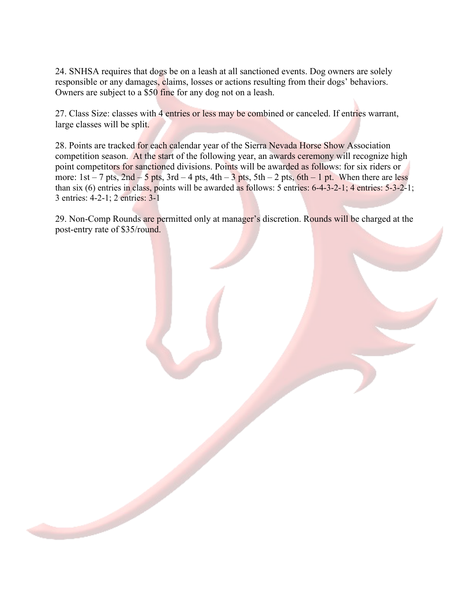24. SNHSA requires that dogs be on a leash at all sanctioned events. Dog owners are solely responsible or any damages, claims, losses or actions resulting from their dogs' behaviors. Owners are subject to a \$50 fine for any dog not on a leash.

27. Class Size: classes with 4 entries or less may be combined or canceled. If entries warrant, large classes will be split.

28. Points are tracked for each calendar year of the Sierra Nevada Horse Show Association competition season. At the start of the following year, an awards ceremony will recognize high point competitors for sanctioned divisions. Points will be awarded as follows: for six riders or more:  $1st - 7$  pts,  $2nd - 5$  pts,  $3rd - 4$  pts,  $4th - 3$  pts,  $5th - 2$  pts,  $6th - 1$  pt. When there are less than six (6) entries in class, points will be awarded as follows: 5 entries: 6-4-3-2-1; 4 entries: 5-3-2-1; 3 entries: 4-2-1; 2 entries: 3-1

29. Non-Comp Rounds are permitted only at manager's discretion. Rounds will be charged at the post-entry rate of \$35/round.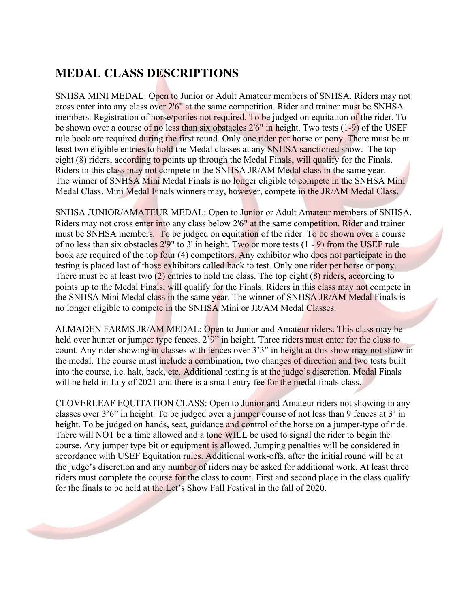# **MEDAL CLASS DESCRIPTIONS**

SNHSA MINI MEDAL: Open to Junior or Adult Amateur members of SNHSA. Riders may not cross enter into any class over 2'6" at the same competition. Rider and trainer must be SNHSA members. Registration of horse/ponies not required. To be judged on equitation of the rider. To be shown over a course of no less than six obstacles 2'6" in height. Two tests (1-9) of the USEF rule book are required during the first round. Only one rider per horse or pony. There must be at least two eligible entries to hold the Medal classes at any SNHSA sanctioned show. The top eight (8) riders, according to points up through the Medal Finals, will qualify for the Finals. Riders in this class may not compete in the SNHSA JR/AM Medal class in the same year. The winner of SNHSA Mini Medal Finals is no longer eligible to compete in the SNHSA Mini Medal Class. Mini Medal Finals winners may, however, compete in the JR/AM Medal Class.

SNHSA JUNIOR/AMATEUR MEDAL: Open to Junior or Adult Amateur members of SNHSA. Riders may not cross enter into any class below 2'6" at the same competition. Rider and trainer must be SNHSA members. To be judged on equitation of the rider. To be shown over a course of no less than six obstacles  $2'9''$  to 3' in height. Two or more tests  $(1 - 9)$  from the USEF rule book are required of the top four (4) competitors. Any exhibitor who does not participate in the testing is placed last of those exhibitors called back to test. Only one rider per horse or pony. There must be at least two (2) entries to hold the class. The top eight (8) riders, according to points up to the Medal Finals, will qualify for the Finals. Riders in this class may not compete in the SNHSA Mini Medal class in the same year. The winner of SNHSA JR/AM Medal Finals is no longer eligible to compete in the SNHSA Mini or JR/AM Medal Classes.

ALMADEN FARMS JR/AM MEDAL: Open to Junior and Amateur riders. This class may be held over hunter or jumper type fences, 2'9" in height. Three riders must enter for the class to count. Any rider showing in classes with fences over 3'3" in height at this show may not show in the medal. The course must include a combination, two changes of direction and two tests built into the course, i.e. halt, back, etc. Additional testing is at the judge's discretion. Medal Finals will be held in July of 2021 and there is a small entry fee for the medal finals class.

CLOVERLEAF EQUITATION CLASS: Open to Junior and Amateur riders not showing in any classes over 3'6" in height. To be judged over a jumper course of not less than 9 fences at 3' in height. To be judged on hands, seat, guidance and control of the horse on a jumper-type of ride. There will NOT be a time allowed and a tone WILL be used to signal the rider to begin the course. Any jumper type bit or equipment is allowed. Jumping penalties will be considered in accordance with USEF Equitation rules. Additional work-offs, after the initial round will be at the judge's discretion and any number of riders may be asked for additional work. At least three riders must complete the course for the class to count. First and second place in the class qualify for the finals to be held at the Let's Show Fall Festival in the fall of 2020.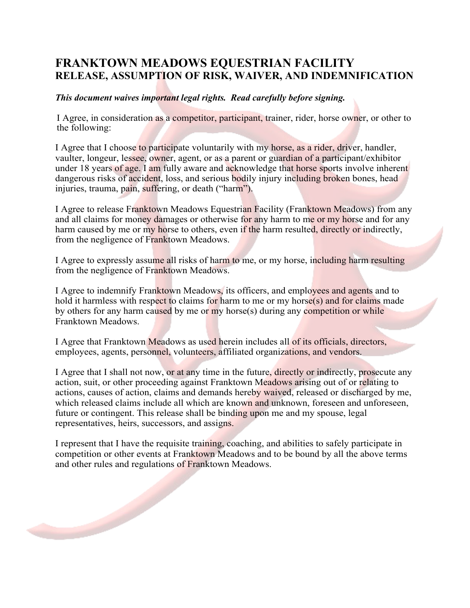### **FRANKTOWN MEADOWS EQUESTRIAN FACILITY RELEASE, ASSUMPTION OF RISK, WAIVER, AND INDEMNIFICATION**

#### *This document waives important legal rights. Read carefully before signing.*

I Agree, in consideration as a competitor, participant, trainer, rider, horse owner, or other to the following:

I Agree that I choose to participate voluntarily with my horse, as a rider, driver, handler, vaulter, longeur, lessee, owner, agent, or as a parent or guardian of a participant/exhibitor under 18 years of age. I am fully aware and acknowledge that horse sports involve inherent dangerous risks of accident, loss, and serious bodily injury including broken bones, head injuries, trauma, pain, suffering, or death ("harm").

I Agree to release Franktown Meadows Equestrian Facility (Franktown Meadows) from any and all claims for money damages or otherwise for any harm to me or my horse and for any harm caused by me or my horse to others, even if the harm resulted, directly or indirectly, from the negligence of Franktown Meadows.

I Agree to expressly assume all risks of harm to me, or my horse, including harm resulting from the negligence of Franktown Meadows.

I Agree to indemnify Franktown Meadows, its officers, and employees and agents and to hold it harmless with respect to claims for harm to me or my horse $(s)$  and for claims made by others for any harm caused by me or my horse(s) during any competition or while Franktown Meadows.

I Agree that Franktown Meadows as used herein includes all of its officials, directors, employees, agents, personnel, volunteers, affiliated organizations, and vendors.

I Agree that I shall not now, or at any time in the future, directly or indirectly, prosecute any action, suit, or other proceeding against Franktown Meadows arising out of or relating to actions, causes of action, claims and demands hereby waived, released or discharged by me, which released claims include all which are known and unknown, foreseen and unforeseen, future or contingent. This release shall be binding upon me and my spouse, legal representatives, heirs, successors, and assigns.

I represent that I have the requisite training, coaching, and abilities to safely participate in competition or other events at Franktown Meadows and to be bound by all the above terms and other rules and regulations of Franktown Meadows.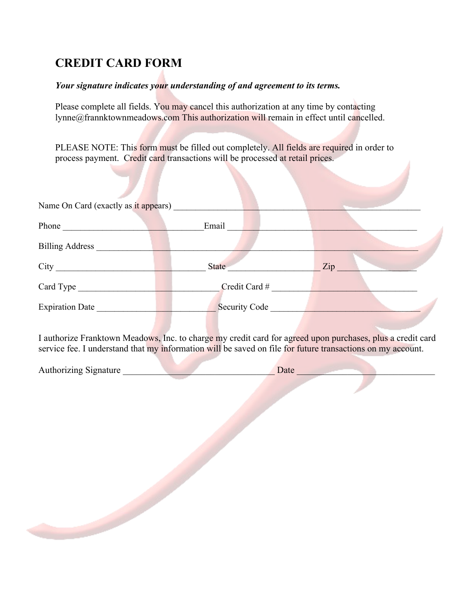# **CREDIT CARD FORM**

#### *Your signature indicates your understanding of and agreement to its terms.*

Please complete all fields. You may cancel this authorization at any time by contacting lynne@frannktownmeadows.com This authorization will remain in effect until cancelled.

PLEASE NOTE: This form must be filled out completely. All fields are required in order to process payment. Credit card transactions will be processed at retail prices.

| Name On Card (exactly as it appears) |                      |     |
|--------------------------------------|----------------------|-----|
| Phone                                | Email                |     |
| <b>Billing Address</b>               |                      |     |
| City                                 | <b>State</b>         | Zip |
| Card Type                            | Credit Card #        |     |
| <b>Expiration Date</b>               | <b>Security Code</b> |     |

I authorize Franktown Meadows, Inc. to charge my credit card for agreed upon purchases, plus a credit card service fee. I understand that my information will be saved on file for future transactions on my account.

| <b>Authorizing Signature</b> |  |
|------------------------------|--|
|                              |  |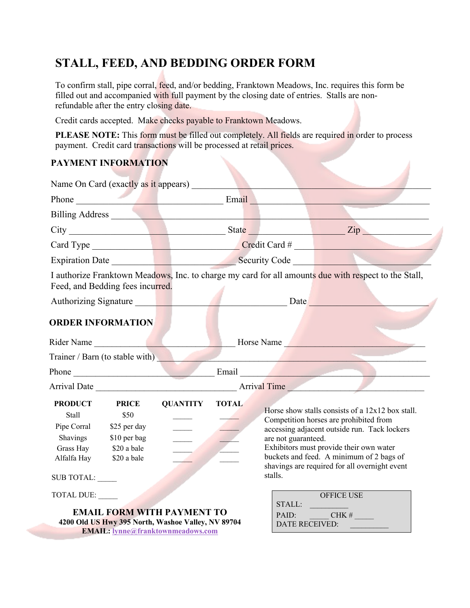# **STALL, FEED, AND BEDDING ORDER FORM**

To confirm stall, pipe corral, feed, and/or bedding, Franktown Meadows, Inc. requires this form be filled out and accompanied with full payment by the closing date of entries. Stalls are nonrefundable after the entry closing date.

Credit cards accepted. Make checks payable to Franktown Meadows.

PLEASE NOTE: This form must be filled out completely. All fields are required in order to process payment. Credit card transactions will be processed at retail prices.

### **PAYMENT INFORMATION**

| Name On Card (exactly as it appears)                                                                                        |                                                      |                                                                                                                                     |                                   |                                |                                                                                                                                                                                                                                                                                      |
|-----------------------------------------------------------------------------------------------------------------------------|------------------------------------------------------|-------------------------------------------------------------------------------------------------------------------------------------|-----------------------------------|--------------------------------|--------------------------------------------------------------------------------------------------------------------------------------------------------------------------------------------------------------------------------------------------------------------------------------|
|                                                                                                                             |                                                      |                                                                                                                                     |                                   |                                | Phone Email Email Email Email Email Email Email Email Email Email Email Email Email Email Email Email Email Email Email Email Email Email Email Email Email Email Email Email Email Email Email Email Email Email Email Email                                                        |
| Billing Address No. 1996                                                                                                    |                                                      |                                                                                                                                     |                                   |                                |                                                                                                                                                                                                                                                                                      |
|                                                                                                                             |                                                      |                                                                                                                                     |                                   |                                |                                                                                                                                                                                                                                                                                      |
|                                                                                                                             |                                                      |                                                                                                                                     | Card Type Card Type Credit Card # |                                |                                                                                                                                                                                                                                                                                      |
|                                                                                                                             |                                                      |                                                                                                                                     | Expiration Date Security Code     |                                |                                                                                                                                                                                                                                                                                      |
| Feed, and Bedding fees incurred.                                                                                            |                                                      |                                                                                                                                     |                                   |                                | I authorize Franktown Meadows, Inc. to charge my card for all amounts due with respect to the Stall,                                                                                                                                                                                 |
|                                                                                                                             |                                                      |                                                                                                                                     |                                   |                                |                                                                                                                                                                                                                                                                                      |
| <b>ORDER INFORMATION</b>                                                                                                    |                                                      |                                                                                                                                     |                                   |                                |                                                                                                                                                                                                                                                                                      |
|                                                                                                                             | Rider Name<br>Horse Name                             |                                                                                                                                     |                                   |                                |                                                                                                                                                                                                                                                                                      |
| Trainer / Barn (to stable with)                                                                                             |                                                      |                                                                                                                                     |                                   |                                | <u> 1989 - Johann Barbara, martin din Barbara, martin din Barbara, martin din Barbara, martin din Barbara, martin</u>                                                                                                                                                                |
|                                                                                                                             |                                                      |                                                                                                                                     |                                   |                                |                                                                                                                                                                                                                                                                                      |
|                                                                                                                             |                                                      |                                                                                                                                     |                                   |                                |                                                                                                                                                                                                                                                                                      |
| <b>PRODUCT</b><br>Stall<br>Pipe Corral<br>Shavings<br>Grass Hay \$20 a bale<br>Alfalfa Hay \$20 a bale<br><b>SUB TOTAL:</b> | <b>PRICE</b><br>\$50<br>\$25 per day<br>\$10 per bag | <b>QUANTITY</b>                                                                                                                     | <b>TOTAL</b>                      | are not guaranteed.<br>stalls. | Horse show stalls consists of a $12x12$ box stall.<br>Competition horses are prohibited from<br>accessing adjacent outside run. Tack lockers<br>Exhibitors must provide their own water<br>buckets and feed. A minimum of 2 bags of<br>shavings are required for all overnight event |
| TOTAL DUE:                                                                                                                  |                                                      | <b>EMAIL FORM WITH PAYMENT TO</b><br>4200 Old US Hwy 395 North, Washoe Valley, NV 89704<br><b>EMAIL:</b> lynne@franktownmeadows.com |                                   |                                | <b>OFFICE USE</b><br>STALL:<br>PAID: CHK #<br>DATE RECEIVED:                                                                                                                                                                                                                         |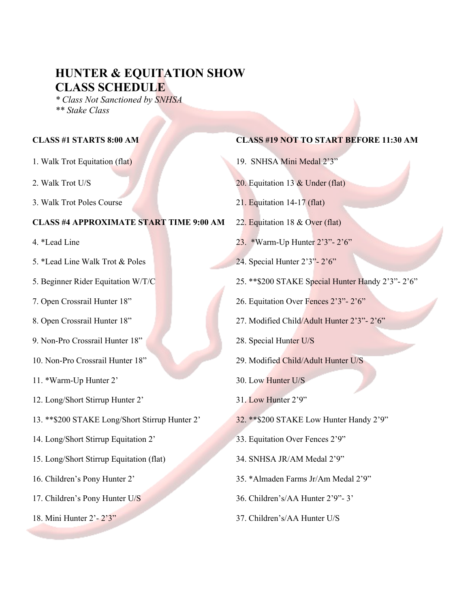## **HUNTER & EQUITATION SHOW CLASS SCHEDULE**

*\* Class Not Sanctioned by SNHSA \*\* Stake Class*

- 
- 
- 3. Walk Trot Poles Course 21. Equitation 14-17 (flat)

#### **CLASS #4 APPROXIMATE START TIME 9:00 AM** 22. Equitation 18 & Over (flat)

- 
- 5. \*Lead Line Walk Trot & Poles 24. Special Hunter 2'3"- 2'6"
- 
- 
- 
- 9. Non-Pro Crossrail Hunter 18" 28. Special Hunter U/S
- 
- 11. \*Warm-Up Hunter 2' 30. Low Hunter U/S
- 12. Long/Short Stirrup Hunter 2' 31. Low Hunter 2'9"
- 13. \*\*\$200 STAKE Long/Short Stirrup Hunter 2' 32. \*\*\$200 STAKE Low Hunter Handy 2'9"
- 14. Long/Short Stirrup Equitation 2' 33. Equitation Over Fences 2'9"
- 15. Long/Short Stirrup Equitation (flat) 34. SNHSA JR/AM Medal 2'9"
- 
- 
- 

#### **CLASS #1 STARTS 8:00 AM CLASS #19 NOT TO START BEFORE 11:30 AM**

- 1. Walk Trot Equitation (flat) 19. SNHSA Mini Medal 2'3"
- 2. Walk Trot U/S 20. Equitation 13 & Under (flat)
	-
	-
- 4. \*Lead Line 2'3"- 2'6"
	-
- 5. Beginner Rider Equitation W/T/C 25. \*\*\$200 STAKE Special Hunter Handy 2'3"- 2'6"
- 7. Open Crossrail Hunter 18" 26. Equitation Over Fences 2'3"- 2'6"
- 8. Open Crossrail Hunter 18" 27. Modified Child/Adult Hunter 2'3"- 2'6"
	-
- 10. Non-Pro Crossrail Hunter 18" 29. Modified Child/Adult Hunter U/S
	-
	-
	-
	-
	-
- 16. Children's Pony Hunter 2' 35. \*Almaden Farms Jr/Am Medal 2'9"
- 17. Children's Pony Hunter U/S 36. Children's/AA Hunter 2'9"- 3'
- 18. Mini Hunter 2'- 2'3" 37. Children's/AA Hunter U/S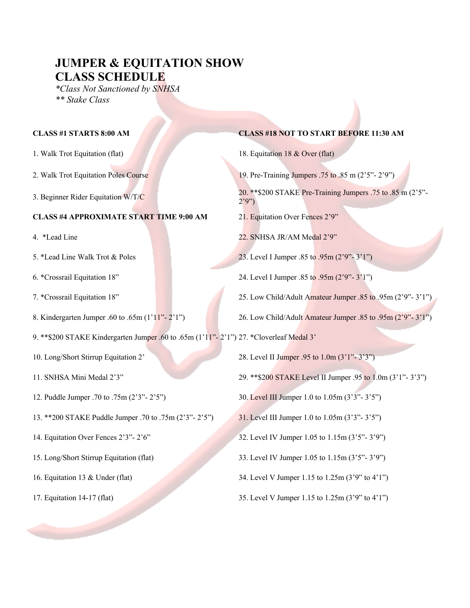# **JUMPER & EQUITATION SHOW CLASS SCHEDULE**

*\*Class Not Sanctioned by SNHSA \*\* Stake Class*

- 
- 
- 

#### **CLASS #4 APPROXIMATE START TIME 9:00 AM** 21. Equitation Over Fences 2'9"

- 
- 
- 
- 
- 
- 9. \*\*\$200 STAKE Kindergarten Jumper .60 to .65m (1'11"- 2'1") 27. \*Cloverleaf Medal 3'
- 
- 
- 
- 13. \*\*200 STAKE Puddle Jumper .70 to .75m (2'3"- 2'5") 31. Level III Jumper 1.0 to 1.05m (3'3"- 3'5")
- 
- 
- 
- 

#### **CLASS #1 STARTS 8:00 AM CLASS #18 NOT TO START BEFORE 11:30 AM**

- 1. Walk Trot Equitation (flat) 18. Equitation 18 & Over (flat)
- 2. Walk Trot Equitation Poles Course 19. Pre-Training Jumpers .75 to .85 m (2'5"- 2'9")
- 3. Beginner Rider Equitation W/T/C  $\frac{20.}{200}$   $\frac{20.885 \text{ N}}{200}$  STAKE Pre-Training Jumpers .75 to .85 m (2'5"- $2'9'$ 
	-
- 4. \*Lead Line 22. SNHSA JR/AM Medal 2'9"
- 5. \*Lead Line Walk Trot & Poles 23. Level I Jumper .85 to .95m (2'9"- 3'1")
- 6. \*Crossrail Equitation 18" 24. Level I Jumper .85 to .95m (2'9"- 3'1")
- 7. \*Crossrail Equitation 18" 25. Low Child/Adult Amateur Jumper .85 to .95m (2'9"- 3'1")
- 8. Kindergarten Jumper .60 to .65m (1'11"- 2'1") 26. Low Child/Adult Amateur Jumper .85 to .95m (2'9"- 3'1")
- 10. Long/Short Stirrup Equitation 2' 28. Level II Jumper .95 to 1.0m (3'1"- 3'3")
- 11. SNHSA Mini Medal 2'3" 29. \*\*\$200 STAKE Level II Jumper .95 to 1.0m (3'1"- 3'3")
- 12. Puddle Jumper .70 to .75m (2'3"- 2'5") 30. Level III Jumper 1.0 to 1.05m (3'3"- 3'5")
	-
- 14. Equitation Over Fences 2'3"- 2'6" 32. Level IV Jumper 1.05 to 1.15m (3'5"- 3'9")
- 15. Long/Short Stirrup Equitation (flat) 33. Level IV Jumper 1.05 to 1.15m (3'5"- 3'9")
- 16. Equitation 13 & Under (flat) 34. Level V Jumper 1.15 to 1.25m (3'9" to 4'1")
- 17. Equitation 14-17 (flat) 35. Level V Jumper 1.15 to 1.25m (3'9" to 4'1")